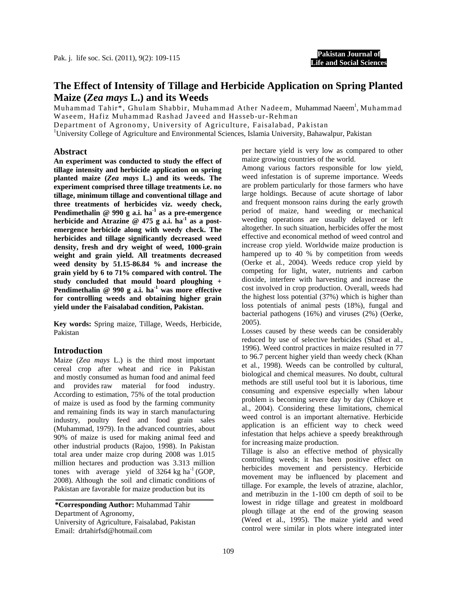**Pakistan Journal of Life and Social Sciences**

## **The Effect of Intensity of Tillage and Herbicide Application on Spring Planted Maize (***Zea mays* **L.) and its Weeds**

Muhammad Tahir\*, Ghulam Shabbir, Muhammad Ather Nadeem, Muhammad Naeem<sup>1</sup>, Muhammad Waseem, Hafiz Muhammad Rashad Javeed and Hasseb-ur-Rehman

Department of Agronomy, University of Agriculture, Faisalabad, Pakistan

<sup>1</sup>University College of Agriculture and Environmental Sciences, Islamia University, Bahawalpur, Pakistan

#### **Abstract**

**An experiment was conducted to study the effect of tillage intensity and herbicide application on spring planted maize (***Zea mays* **L.) and its weeds. The experiment comprised three tillage treatments i.e. no tillage, minimum tillage and conventional tillage and three treatments of herbicides viz. weedy check, Pendimethalin @ 990 g a.i. ha-1 as a pre-emergence herbicide and Atrazine @ 475 g a.i. ha-1 as a postemergence herbicide along with weedy check. The herbicides and tillage significantly decreased weed density, fresh and dry weight of weed, 1000-grain weight and grain yield. All treatments decreased weed density by 51.15-86.84 % and increase the grain yield by 6 to 71% compared with control. The study concluded that mould board ploughing + Pendimethalin @ 990 g a.i. ha-1 was more effective for controlling weeds and obtaining higher grain yield under the Faisalabad condition, Pakistan.** 

**Key words:** Spring maize, Tillage, Weeds, Herbicide, Pakistan

### **Introduction**

Maize (*Zea mays* L.) is the third most important cereal crop after wheat and rice in Pakistan and mostly consumed as human food and animal feed and provides raw material for food industry. According to estimation, 75% of the total production of maize is used as food by the farming community and remaining finds its way in starch manufacturing industry, poultry feed and food grain sales (Muhammad, 1979). In the advanced countries, about 90% of maize is used for making animal feed and other industrial products (Rajoo, 1998). In Pakistan total area under maize crop during 2008 was 1.015 million hectares and production was 3.313 million tones with average yield of  $3264 \text{ kg} \text{ ha}^{-1}$  (GOP, 2008). Although the soil and climatic conditions of Pakistan are favorable for maize production but its

**\*Corresponding Author:** Muhammad Tahir Department of Agronomy, University of Agriculture, Faisalabad, Pakistan Email: drtahirfsd@hotmail.com

per hectare yield is very low as compared to other maize growing countries of the world.

Among various factors responsible for low yield, weed infestation is of supreme importance. Weeds are problem particularly for those farmers who have large holdings. Because of acute shortage of labor and frequent monsoon rains during the early growth period of maize, hand weeding or mechanical weeding operations are usually delayed or left altogether. In such situation, herbicides offer the most effective and economical method of weed control and increase crop yield. Worldwide maize production is hampered up to 40 % by competition from weeds (Oerke et al*.,* 2004). Weeds reduce crop yield by competing for light, water, nutrients and carbon dioxide, interfere with harvesting and increase the cost involved in crop production. Overall, weeds had the highest loss potential (37%) which is higher than loss potentials of animal pests (18%), fungal and bacterial pathogens (16%) and viruses (2%) (Oerke, 2005).

Losses caused by these weeds can be considerably reduced by use of selective herbicides (Shad et al*.,* 1996). Weed control practices in maize resulted in 77 to 96.7 percent higher yield than weedy check (Khan et al*.,* 1998). Weeds can be controlled by cultural, biological and chemical measures. No doubt, cultural methods are still useful tool but it is laborious, time consuming and expensive especially when labour problem is becoming severe day by day (Chikoye et al., 2004). Considering these limitations, chemical weed control is an important alternative. Herbicide application is an efficient way to check weed infestation that helps achieve a speedy breakthrough for increasing maize production.

Tillage is also an effective method of physically controlling weeds; it has been positive effect on herbicides movement and persistency. Herbicide movement may be influenced by placement and tillage. For example, the levels of atrazine, alachlor, and metribuzin in the 1-100 cm depth of soil to be lowest in ridge tillage and greatest in moldboard plough tillage at the end of the growing season (Weed et al., 1995). The maize yield and weed control were similar in plots where integrated inter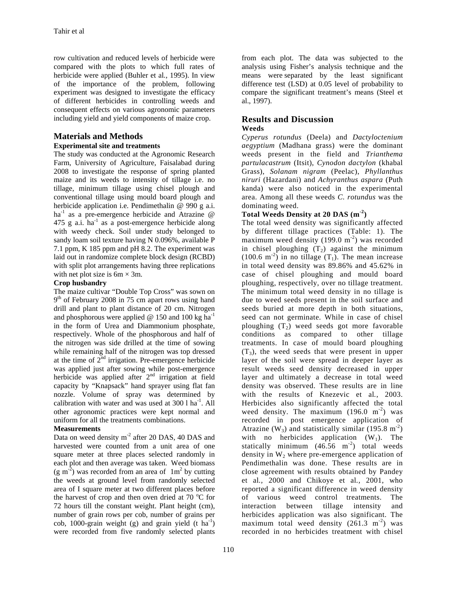row cultivation and reduced levels of herbicide were compared with the plots to which full rates of herbicide were applied (Buhler et al*.,* 1995). In view of the importance of the problem, following experiment was designed to investigate the efficacy of different herbicides in controlling weeds and consequent effects on various agronomic parameters including yield and yield components of maize crop.

# **Materials and Methods**

### **Experimental site and treatments**

The study was conducted at the Agronomic Research Farm, University of Agriculture, Faisalabad during 2008 to investigate the response of spring planted maize and its weeds to intensity of tillage i.e. no tillage, minimum tillage using chisel plough and conventional tillage using mould board plough and herbicide application i.e. Pendimethalin @ 990 g a.i. ha<sup>-1</sup> as a pre-emergence herbicide and Atrazine  $\omega$ 475 g a.i.  $ha^{-1}$  as a post-emergence herbicide along with weedy check. Soil under study belonged to sandy loam soil texture having N 0.096%, available P 7.1 ppm, K 185 ppm and pH 8.2. The experiment was laid out in randomize complete block design (RCBD) with split plot arrangements having three replications with net plot size is  $6m \times 3m$ .

### **Crop husbandry**

The maize cultivar "Double Top Cross" was sown on  $9<sup>th</sup>$  of February 2008 in 75 cm apart rows using hand drill and plant to plant distance of 20 cm. Nitrogen and phosphorous were applied @ 150 and 100 kg ha<sup>-1</sup> in the form of Urea and Diammonium phosphate, respectively. Whole of the phosphorous and half of the nitrogen was side drilled at the time of sowing while remaining half of the nitrogen was top dressed at the time of  $2<sup>nd</sup>$  irrigation. Pre-emergence herbicide was applied just after sowing while post-emergence herbicide was applied after  $2<sup>nd</sup>$  irrigation at field capacity by "Knapsack" hand sprayer using flat fan nozzle. Volume of spray was determined by calibration with water and was used at  $300 \, 1 \, \text{ha}^{-1}$ . All other agronomic practices were kept normal and uniform for all the treatments combinations.

### **Measurements**

Data on weed density m<sup>-2</sup> after 20 DAS, 40 DAS and harvested were counted from a unit area of one square meter at three places selected randomly in each plot and then average was taken. Weed biomass  $(g m<sup>2</sup>)$  was recorded from an area of  $1 m<sup>2</sup>$  by cutting the weeds at ground level from randomly selected area of I square meter at two different places before the harvest of crop and then oven dried at 70  $^{\circ}$ C for 72 hours till the constant weight. Plant height (cm), number of grain rows per cob, number of grains per cob, 1000-grain weight (g) and grain yield  $(t \text{ ha}^{-1})$ were recorded from five randomly selected plants

from each plot. The data was subjected to the analysis using Fisher's analysis technique and the means were separated by the least significant difference test (LSD) at 0.05 level of probability to compare the significant treatment's means (Steel et al., 1997).

## **Results and Discussion**

### **Weeds**

*Cyperus rotundus* (Deela) and *Dactyloctenium aegyptium* (Madhana grass) were the dominant weeds present in the field and *Trianthema partulacastrum* (Itsit), *Cynodon dactylon* (khabal Grass), *Solanam nigram* (Peelac), *Phyllanthus niruri* (Hazardani) and *Achyranthus aspara* (Puth kanda) were also noticed in the experimental area. Among all these weeds *C. rotundus* was the dominating weed.

### **Total Weeds Density at 20 DAS (m-2)**

The total weed density was significantly affected by different tillage practices (Table: 1). The maximum weed density  $(199.0 \text{ m}^2)$  was recorded in chisel ploughing  $(T_2)$  against the minimum  $(100.6 \text{ m}^{-2})$  in no tillage  $(T_1)$ . The mean increase in total weed density was 89.86% and 45.62% in case of chisel ploughing and mould board ploughing, respectively, over no tillage treatment. The minimum total weed density in no tillage is due to weed seeds present in the soil surface and seeds buried at more depth in both situations, seed can not germinate. While in case of chisel ploughing  $(T_2)$  weed seeds got more favorable conditions as compared to other tillage treatments. In case of mould board ploughing  $(T_3)$ , the weed seeds that were present in upper layer of the soil were spread in deeper layer as result weeds seed density decreased in upper layer and ultimately a decrease in total weed density was observed. These results are in line with the results of Knezevic et al*.*, 2003. Herbicides also significantly affected the total weed density. The maximum  $(196.0 \text{ m}^{-2})$  was recorded in post emergence application of Atrazine (W<sub>3</sub>) and statistically similar (195.8 m<sup>-2</sup>) with no herbicides application  $(W_1)$ . The statically minimum  $(46.56 \text{ m}^{-2})$  total weeds density in  $W_2$  where pre-emergence application of Pendimethalin was done. These results are in close agreement with results obtained by Pandey et al*.,* 2000 and Chikoye et al*.,* 2001, who reported a significant difference in weed density of various weed control treatments. The interaction between tillage intensity and herbicides application was also significant. The maximum total weed density  $(261.3 \text{ m}^2)$  was recorded in no herbicides treatment with chisel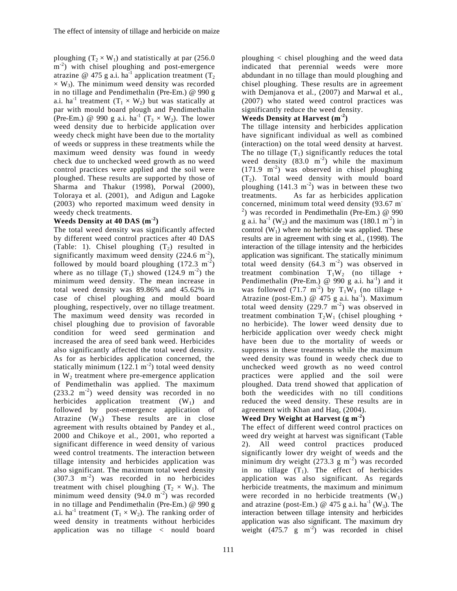ploughing  $(T_2 \times W_1)$  and statistically at par (256.0)  $m^{-2}$ ) with chisel ploughing and post-emergence atrazine @ 475 g a.i. ha<sup>-1</sup> application treatment (T<sub>2</sub>)  $\times$  W<sub>3</sub>). The minimum weed density was recorded in no tillage and Pendimethalin (Pre-Em.) @ 990 g a.i. ha<sup>-1</sup> treatment  $(T_1 \times W_2)$  but was statically at par with mould board plough and Pendimethalin (Pre-Em.) @ 990 g a.i.  $ha^{-1}$   $(T_3 \times W_2)$ . The lower weed density due to herbicide application over weedy check might have been due to the mortality of weeds or suppress in these treatments while the maximum weed density was found in weedy check due to unchecked weed growth as no weed control practices were applied and the soil were ploughed. These results are supported by those of Sharma and Thakur (1998), Porwal (2000), Toloraya et al*.* (2001), and Adigun and Lagoke (2003) who reported maximum weed density in weedy check treatments.

### **Weeds Density at 40 DAS (m-2)**

The total weed density was significantly affected by different weed control practices after 40 DAS (Table: 1). Chisel ploughing  $(T_2)$  resulted in significantly maximum weed density  $(224.6 \text{ m}^2)$ , followed by mould board ploughing  $(172.3 \text{ m}^2)$ where as no tillage  $(T_1)$  showed  $(124.9 \text{ m}^2)$  the minimum weed density. The mean increase in total weed density was 89.86% and 45.62% in case of chisel ploughing and mould board ploughing, respectively, over no tillage treatment. The maximum weed density was recorded in chisel ploughing due to provision of favorable condition for weed seed germination and increased the area of seed bank weed. Herbicides also significantly affected the total weed density. As for as herbicides application concerned, the statically minimum  $(122.1 \text{ m}^{-2})$  total weed density in  $W_2$  treatment where pre-emergence application of Pendimethalin was applied. The maximum  $(233.2 \text{ m}^2)$  weed density was recorded in no herbicides application treatment  $(W_1)$  and followed by post-emergence application of Atrazine  $(W_3)$  These results are in close agreement with results obtained by Pandey et al*.,* 2000 and Chikoye et al*.,* 2001, who reported a significant difference in weed density of various weed control treatments. The interaction between tillage intensity and herbicides application was also significant. The maximum total weed density  $(307.3 \text{ m}^{-2})$  was recorded in no herbicides treatment with chisel ploughing  $(T_2 \times W_1)$ . The minimum weed density  $(94.0 \text{ m}^2)$  was recorded in no tillage and Pendimethalin (Pre-Em.) @ 990 g a.i. ha<sup>-1</sup> treatment  $(T_1 \times W_2)$ . The ranking order of weed density in treatments without herbicides application was no tillage < nould board

111

ploughing < chisel ploughing and the weed data indicated that perennial weeds were more abdundant in no tillage than mould ploughing and chisel ploughing. These results are in agreement with Demjanova et al*.,* (2007) and Marwal et al*.,* (2007) who stated weed control practices was significantly reduce the weed density.

## **Weeds Density at Harvest (m-2)**

The tillage intensity and herbicides application have significant individual as well as combined (interaction) on the total weed density at harvest. The no tillage  $(T_1)$  significantly reduces the total weed density  $(83.0 \text{ m}^{-2})$  while the maximum  $(171.9 \text{ m}^{-2})$  was observed in chisel ploughing  $(T_2)$ . Total weed density with mould board ploughing  $(141.3 \text{ m}^2)$  was in between these two treatments. As far as herbicides application concerned, minimum total weed density (93.67 m-<sup>2</sup>) was recorded in Pendimethalin (Pre-Em.)  $@990$ g a.i. ha<sup>-1</sup> (W<sub>2</sub>) and the maximum was (180.1 m<sup>-2</sup>) in control  $(W_1)$  where no herbicide was applied. These results are in agreement with sing et al*.,* (1998). The interaction of the tillage intensity and the herbicides application was significant. The statically minimum total weed density  $(64.3 \text{ m}^2)$  was observed in treatment combination  $T_1W_2$  (no tillage + Pendimethalin (Pre-Em.) @ 990 g a.i.  $ha^{-1}$ ) and it was followed (71.7 m<sup>-2</sup>) by  $T_1W_3$  (no tillage + Atrazine (post-Em.) @ 475 g a.i. ha<sup>-1</sup>). Maximum total weed density  $(229.7 \text{ m}^2)$  was observed in treatment combination  $T_2W_1$  (chisel ploughing + no herbicide). The lower weed density due to herbicide application over weedy check might have been due to the mortality of weeds or suppress in these treatments while the maximum weed density was found in weedy check due to unchecked weed growth as no weed control practices were applied and the soil were ploughed. Data trend showed that application of both the weedicides with no till conditions reduced the weed density. These results are in agreement with Khan and Haq, (2004).

## **Weed Dry Weight at Harvest (g m-2)**

The effect of different weed control practices on weed dry weight at harvest was significant (Table 2). All weed control practices produced significantly lower dry weight of weeds and the minimum dry weight  $(273.3 \text{ g m}^{-2})$  was recorded in no tillage  $(T_1)$ . The effect of herbicides application was also significant. As regards herbicide treatments, the maximum and minimum were recorded in no herbicide treatments  $(W_1)$ and atrazine (post-Em.) @ 475 g a.i. ha<sup>-1</sup> (W<sub>3</sub>). The interaction between tillage intensity and herbicides application was also significant. The maximum dry weight  $(475.7 \text{ g} \text{ m}^2)$  was recorded in chisel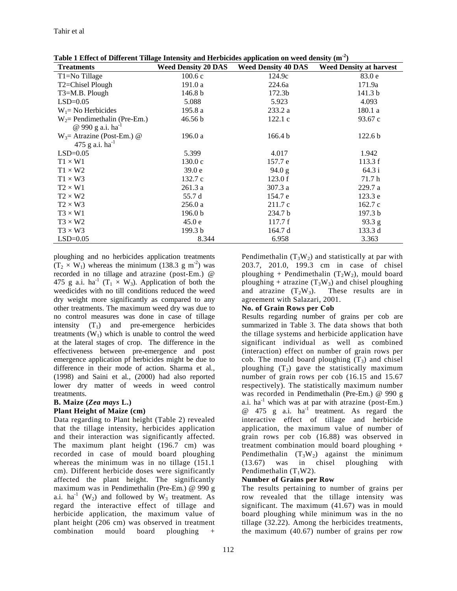| <b>Treatments</b>             | <b>Weed Density 20 DAS</b> | <b>Weed Density 40 DAS</b> | <b>Weed Density at harvest</b> |
|-------------------------------|----------------------------|----------------------------|--------------------------------|
| T <sub>1</sub> =No Tillage    | 100.6c                     | 124.9c                     | 83.0e                          |
| T2=Chisel Plough              | 191.0a                     | 224.6a                     | 171.9a                         |
| T3=M.B. Plough                | 146.8 b                    | 172.3b                     | 141.3 <sub>b</sub>             |
| $LSD=0.05$                    | 5.088                      | 5.923                      | 4.093                          |
| $W_1$ = No Herbicides         | 195.8 a                    | 233.2 a                    | 180.1 a                        |
| $W_2$ Pendimethalin (Pre-Em.) | 46.56 b                    | 122.1c                     | 93.67c                         |
| @ 990 g a.i. $ha^{-1}$        |                            |                            |                                |
| $W_3$ = Atrazine (Post-Em.) @ | 196.0a                     | 166.4 b                    | 122.6 <sub>b</sub>             |
| 475 g a.i. $ha^{-1}$          |                            |                            |                                |
| $LSD=0.05$                    | 5.399                      | 4.017                      | 1.942                          |
| $T1 \times W1$                | 130.0c                     | 157.7 e                    | 113.3 f                        |
| $T1 \times W2$                | 39.0 <sub>e</sub>          | 94.0 g                     | 64.3 i                         |
| $T1 \times W3$                | 132.7c                     | 123.0 f                    | 71.7 h                         |
| $T2 \times W1$                | 261.3 a                    | 307.3 a                    | 229.7 a                        |
| $T2 \times W2$                | 55.7 d                     | 154.7 e                    | 123.3 e                        |
| $T2 \times W3$                | 256.0a                     | 211.7c                     | 162.7c                         |
| $T3 \times W1$                | 196.0 <sub>b</sub>         | 234.7 b                    | 197.3 <sub>b</sub>             |
| $T3 \times W2$                | 45.0 e                     | 117.7 f                    | 93.3 g                         |
| $T3 \times W3$                | 199.3 b                    | 164.7 d                    | 133.3 d                        |
| $LSD=0.05$                    | 8.344                      | 6.958                      | 3.363                          |

**Table 1 Effect of Different Tillage Intensity and Herbicides application on weed density (m-2)** 

ploughing and no herbicides application treatments  $(T_2 \times W_1)$  whereas the minimum (138.3 g m<sup>-2</sup>) was recorded in no tillage and atrazine (post-Em.) @ 475 g a.i. ha<sup>-1</sup> (T<sub>1</sub>  $\times$  W<sub>3</sub>). Application of both the weedicides with no till conditions reduced the weed dry weight more significantly as compared to any other treatments. The maximum weed dry was due to no control measures was done in case of tillage intensity  $(T_1)$  and pre-emergence herbicides treatments  $(W_1)$  which is unable to control the weed at the lateral stages of crop. The difference in the effectiveness between pre-emergence and post emergence application pf herbicides might be due to difference in their mode of action. Sharma et al*.,* (1998) and Saini et al*.*, (2000) had also reported lower dry matter of weeds in weed control treatments.

## **B. Maize (***Zea mays* **L.)**

## **Plant Height of Maize (cm)**

Data regarding to Plant height (Table 2) revealed that the tillage intensity, herbicides application and their interaction was significantly affected. The maximum plant height (196.7 cm) was recorded in case of mould board ploughing whereas the minimum was in no tillage  $(151.1)$ cm). Different herbicide doses were significantly affected the plant height. The significantly maximum was in Pendimethalin (Pre-Em.) @ 990 g a.i. ha<sup>-1</sup> (W<sub>2</sub>) and followed by W<sub>3</sub> treatment. As regard the interactive effect of tillage and herbicide application, the maximum value of plant height (206 cm) was observed in treatment combination mould board ploughing +

Pendimethalin  $(T_3W_2)$  and statistically at par with 203.7, 201.0, 199.3 cm in case of chisel ploughing + Pendimethalin  $(T_2W_2)$ , mould board ploughing + atrazine  $(T_3W_3)$  and chisel ploughing and atrazine  $(T_2W_3)$ . These results are in agreement with Salazari, 2001.

### **No. of Grain Rows per Cob**

Results regarding number of grains per cob are summarized in Table 3. The data shows that both the tillage systems and herbicide application have significant individual as well as combined (interaction) effect on number of grain rows per cob. The mould board ploughing  $(T_3)$  and chisel ploughing  $(T_2)$  gave the statistically maximum number of grain rows per cob (16.15 and 15.67 respectively). The statistically maximum number was recorded in Pendimethalin (Pre-Em.) @ 990 g a.i.  $ha^{-1}$  which was at par with atrazine (post-Em.)  $\omega$  475 g a.i. ha<sup>-1</sup> treatment. As regard the interactive effect of tillage and herbicide application, the maximum value of number of grain rows per cob (16.88) was observed in treatment combination mould board ploughing + Pendimethalin  $(T_3W_2)$  against the minimum<br>(13.67) was in chisel ploughing with (13.67) was in chisel ploughing with Pendimethalin  $(T_1W2)$ .

## **Number of Grains per Row**

The results pertaining to number of grains per row revealed that the tillage intensity was significant. The maximum (41.67) was in mould board ploughing while minimum was in the no tillage (32.22). Among the herbicides treatments, the maximum (40.67) number of grains per row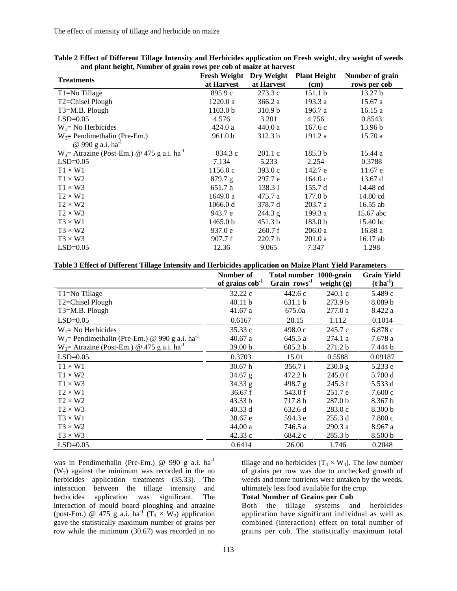The effect of intensity of tillage and herbicide on maize

| and plant height, rumber of gram rows per cob of malle at harvest | <b>Fresh Weight</b> Dry Weight |                    | <b>Plant Height</b> | Number of grain     |
|-------------------------------------------------------------------|--------------------------------|--------------------|---------------------|---------------------|
| <b>Treatments</b>                                                 | at Harvest                     | at Harvest         | (cm)                | rows per cob        |
| T1=No Tillage                                                     | 895.9 c                        | 273.3 c            | 151.1 b             | 13.27 <sub>b</sub>  |
| T2=Chisel Plough                                                  | 1220.0 a                       | 366.2 a            | 193.3 a             | 15.67a              |
| $T3=M.B.$ Plough                                                  | 1103.0 <sub>b</sub>            | 310.9 <sub>b</sub> | 196.7 a             | 16.15a              |
| $LSD=0.05$                                                        | 4.576                          | 3.201              | 4.756               | 0.8543              |
| $W_1$ No Herbicides                                               | 424.0a                         | 440.0 a            | 167.6c              | 13.96 b             |
| $W_2$ Pendimethalin (Pre-Em.)                                     | 961.0 b                        | 312.3 b            | 191.2 a             | 15.70a              |
| @ 990 g a.i. $ha^{-1}$                                            |                                |                    |                     |                     |
| $W_3$ = Atrazine (Post-Em.) @ 475 g a.i. ha <sup>-1</sup>         | 834.3 c                        | 201.1 c            | 185.3 <sub>b</sub>  | 15.44 a             |
| $LSD=0.05$                                                        | 7.134                          | 5.233              | 2.254               | 0.3788              |
| $T1 \times W1$                                                    | 1156.0c                        | 393.0c             | 142.7 e             | 11.67 e             |
| $T1 \times W2$                                                    | 879.7 g                        | 297.7 e            | 164.0c              | 13.67 d             |
| $T1 \times W3$                                                    | 651.7h                         | 138.3 I            | 155.7 d             | 14.48 cd            |
| $T2 \times W1$                                                    | 1649.0 a                       | 475.7a             | 177.0 <sub>b</sub>  | 14.80 cd            |
| $T2 \times W2$                                                    | 1066.0 d                       | 378.7 d            | 203.7a              | $16.55$ ab          |
| $T2 \times W3$                                                    | 943.7 e                        | 244.3 g            | 199.3 a             | 15.67 abc           |
| $T3 \times W1$                                                    | 1465.0 b                       | 451.3 b            | 183.0 <sub>b</sub>  | 15.40 <sub>bc</sub> |
| $T3 \times W2$                                                    | 937.0 e                        | 260.7 f            | 206.0a              | 16.88 a             |
| $T3 \times W3$                                                    | 907.7 f                        | 220.7 <sub>h</sub> | 201.0a              | 16.17 ab            |
| $LSD=0.05$                                                        | 12.36                          | 9.065              | 7.347               | 1.298               |

**Table 2 Effect of Different Tillage Intensity and Herbicides application on Fresh weight, dry weight of weeds and plant height, Number of grain rows per cob of maize at harvest** 

|  |  |  | Table 3 Effect of Different Tillage Intensity and Herbicides application on Maize Plant Yield Parameters |
|--|--|--|----------------------------------------------------------------------------------------------------------|
|  |  |  |                                                                                                          |

|                                                             | Number of<br>of grains $\cosh^{-1}$ | Total number 1000-grain<br>Grain rows <sup>1</sup> | weight $(g)$       | <b>Grain Yield</b><br>$(t \, \mathrm{ha}^{-1})$ |
|-------------------------------------------------------------|-------------------------------------|----------------------------------------------------|--------------------|-------------------------------------------------|
| T1=No Tillage                                               | 32.22c                              | 442.6c                                             | 240.1 c            | 5.489 c                                         |
| T2=Chisel Plough                                            | 40.11 b                             | 631.1 b                                            | 273.9 <sub>b</sub> | 8.089 b                                         |
| $T3=M.B.$ Plough                                            | 41.67 a                             | 675.0a                                             | 277.0 a            | 8.422 a                                         |
| $LSD=0.05$                                                  | 0.6167                              | 28.15                                              | 1.112              | 0.1014                                          |
| $W_1$ No Herbicides                                         | 35.33 c                             | 498.0c                                             | 245.7c             | 6.878 c                                         |
| $W_2$ Pendimethalin (Pre-Em.) @ 990 g a.i. ha <sup>-1</sup> | 40.67a                              | 645.5 a                                            | 274.1a             | 7.678 a                                         |
| $W_3$ = Atrazine (Post-Em.) @ 475 g a.i. ha <sup>-1</sup>   | 39.00 <sub>b</sub>                  | 605.2 b                                            | 271.2 <sub>b</sub> | 7.444 b                                         |
| $LSD=0.05$                                                  | 0.3703                              | 15.01                                              | 0.5588             | 0.09187                                         |
| $T1 \times W1$                                              | 30.67 h                             | 356.7 i                                            | 230.0 g            | 5.233 e                                         |
| $T1 \times W2$                                              | $34.67$ g                           | 472.2 h                                            | 245.0 f            | 5.700 d                                         |
| $T1 \times W3$                                              | 34.33 g                             | 498.7 g                                            | 245.3 f            | 5.533 d                                         |
| $T2 \times W1$                                              | 36.67 f                             | 543.0 f                                            | 251.7 e            | 7.600c                                          |
| $T2 \times W2$                                              | 43.33 b                             | 717.8 b                                            | 287.0 <sub>b</sub> | 8.367 <sub>b</sub>                              |
| $T2 \times W3$                                              | 40.33 d                             | 632.6 d                                            | 283.0c             | 8.300 b                                         |
| $T3 \times W1$                                              | 38.67 e                             | 594.3 e                                            | 255.3 d            | 7.800c                                          |
| $T3 \times W2$                                              | 44.00 a                             | 746.5 a                                            | 290.3a             | 8.967 a                                         |
| $T3 \times W3$                                              | 42.33 c                             | 684.2 c                                            | 285.3 <sub>b</sub> | 8.500 b                                         |
| $LSD=0.05$                                                  | 0.6414                              | 26.00                                              | 1.746              | 0.2048                                          |

was in Pendimethalin (Pre-Em.) @ 990 g a.i. ha<sup>-1</sup>  $(W<sub>2</sub>)$  against the minimum was recorded in the no herbicides application treatments (35.33). The interaction between the tillage intensity and herbicides application was significant. The interaction of mould board ploughing and atrazine (post-Em.) @ 475 g a.i. ha<sup>-1</sup> (T<sub>3</sub>  $\times$  W<sub>2</sub>) application gave the statistically maximum number of grains per row while the minimum (30.67) was recorded in no

tillage and no herbicides ( $T_3 \times W_3$ ). The low number of grains per row was due to unchecked growth of weeds and more nutrients were untaken by the weeds, ultimately less food available for the crop.

#### **Total Number of Grains per Cob**

Both the tillage systems and herbicides application have significant individual as well as combined (interaction) effect on total number of grains per cob. The statistically maximum total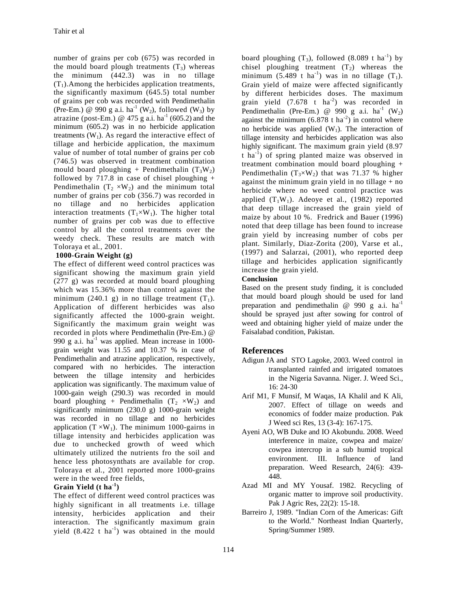number of grains per cob (675) was recorded in the mould board plough treatments  $(T_3)$  whereas the minimum (442.3) was in no tillage  $(T_1)$ . Among the herbicides application treatments, the significantly maximum (645.5) total number of grains per cob was recorded with Pendimethalin (Pre-Em.) @ 990 g a.i. ha<sup>-1</sup> (W<sub>2</sub>), followed (W<sub>3</sub>) by atrazine (post-Em.) @ 475 g a.i. ha<sup>-1</sup> (605.2) and the minimum (605.2) was in no herbicide application treatments  $(W_1)$ . As regard the interactive effect of tillage and herbicide application, the maximum value of number of total number of grains per cob (746.5) was observed in treatment combination mould board ploughing + Pendimethalin  $(T_3W_2)$ followed by 717.8 in case of chisel ploughing  $+$ Pendimethalin  $(T_2 \times W_2)$  and the minimum total number of grains per cob (356.7) was recorded in no tillage and no herbicides application interaction treatments  $(T_1 \times W_1)$ . The higher total number of grains per cob was due to effective control by all the control treatments over the weedy check. These results are match with Toloraya et al*.*, 2001.

### **1000-Grain Weight (g)**

The effect of different weed control practices was significant showing the maximum grain yield (277 g) was recorded at mould board ploughing which was 15.36% more than control against the minimum (240.1 g) in no tillage treatment  $(T_1)$ . Application of different herbicides was also significantly affected the 1000-grain weight. Significantly the maximum grain weight was recorded in plots where Pendimethalin (Pre-Em.) @ 990 g a.i.  $ha^{-1}$  was applied. Mean increase in 1000grain weight was 11.55 and 10.37 % in case of Pendimethalin and atrazine application, respectively, compared with no herbicides. The interaction between the tillage intensity and herbicides application was significantly. The maximum value of 1000-gain weigh (290.3) was recorded in mould board ploughing + Pendimethalin  $(T_2 \times W_2)$  and significantly minimum (230.0 g) 1000-grain weight was recorded in no tillage and no herbicides application  $(T \times W_1)$ . The minimum 1000-gairns in tillage intensity and herbicides application was due to unchecked growth of weed which ultimately utilized the nutrients fro the soil and hence less photosynthats are available for crop. Toloraya et al*.*, 2001 reported more 1000-grains were in the weed free fields,

### **Grain Yield (t ha-1)**

The effect of different weed control practices was highly significant in all treatments i.e. tillage intensity, herbicides application and their interaction. The significantly maximum grain yield  $(8.422 \text{ t} \text{ ha}^{-1})$  was obtained in the mould

board ploughing  $(T_3)$ , followed  $(8.089 \text{ t ha}^{-1})$  by chisel ploughing treatment  $(T_2)$  whereas the minimum (5.489 t ha<sup>-1</sup>) was in no tillage  $(T_1)$ . Grain yield of maize were affected significantly by different herbicides doses. The maximum grain yield  $(7.678 \text{ t} \text{ ha}^2)$  was recorded in Pendimethalin (Pre-Em.) @ 990 g a.i. ha<sup>-1</sup> (W<sub>2</sub>) against the minimum  $(6.878 \text{ t ha}^2)$  in control where no herbicide was applied  $(W_1)$ . The interaction of tillage intensity and herbicides application was also highly significant. The maximum grain yield (8.97 t ha-1) of spring planted maize was observed in treatment combination mould board ploughing + Pendimethalin  $(T_3\times W_2)$  that was 71.37 % higher against the minimum grain yield in no tillage  $+$  no herbicide where no weed control practice was applied  $(T_1W_1)$ . Adeoye et al., (1982) reported that deep tillage increased the grain yield of maize by about 10 %. Fredrick and Bauer (1996) noted that deep tillage has been found to increase grain yield by increasing number of cobs per plant. Similarly, Diaz-Zorita (200), Varse et al*.*, (1997) and Salarzai, (2001), who reported deep tillage and herbicides application significantly increase the grain yield.

## **Conclusion**

Based on the present study finding, it is concluded that mould board plough should be used for land preparation and pendimethalin  $\omega$  990 g a.i. ha<sup>-1</sup> should be sprayed just after sowing for control of weed and obtaining higher yield of maize under the Faisalabad condition, Pakistan.

## **References**

- Adigun JA and STO Lagoke, 2003. Weed control in transplanted rainfed and irrigated tomatoes in the Nigeria Savanna. Niger. J. Weed Sci., 16: 24-30
- Arif M1, F Munsif, M Waqas, IA Khalil and K Ali, 2007. Effect of tillage on weeds and economics of fodder maize production. Pak J Weed sci Res, 13 (3-4): 167-175.
- Ayeni AO, WB Duke and IO Akobundu. 2008. Weed interference in maize, cowpea and maize/ cowpea intercrop in a sub humid tropical environment. III. Influence of land preparation. Weed Research, 24(6): 439- 448.
- Azad MI and MY Yousaf. 1982. Recycling of organic matter to improve soil productivity. Pak J Agric Res, 22(2): 15-18.
- Barreiro J, 1989. "Indian Corn of the Americas: Gift to the World." Northeast Indian Quarterly, Spring/Summer 1989.